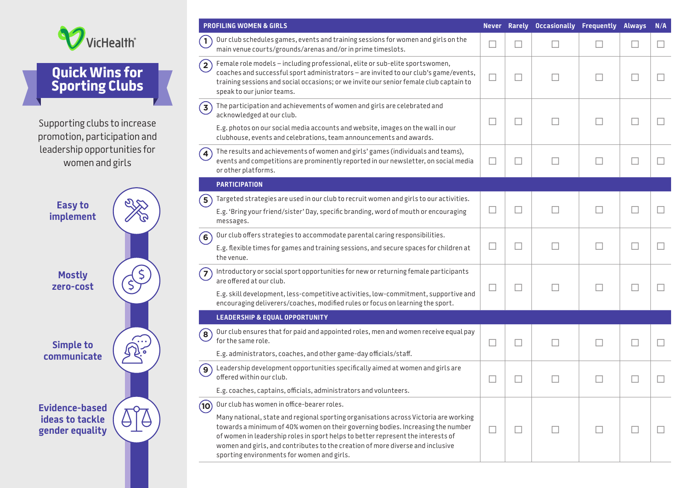

## **Quick Wins for Sporting Clubs**

Supporting clubs to increase promotion, participation and leadership opportunities for women and girls

| <b>Easy to</b><br><b>implement</b>                          |  |
|-------------------------------------------------------------|--|
| <b>Mostly</b><br>zero-cost                                  |  |
| <b>Simple to</b><br>communicate                             |  |
| <b>Evidence-based</b><br>ideas to tackle<br>gender equality |  |
|                                                             |  |

| <b>PROFILING WOMEN &amp; GIRLS</b>                                                                                                                                                                                                                                                                                                                                                          |        |   |        | Never Rarely Occasionally Frequently Always |        | N/A |
|---------------------------------------------------------------------------------------------------------------------------------------------------------------------------------------------------------------------------------------------------------------------------------------------------------------------------------------------------------------------------------------------|--------|---|--------|---------------------------------------------|--------|-----|
| Our club schedules games, events and training sessions for women and girls on the<br>main venue courts/grounds/arenas and/or in prime timeslots.                                                                                                                                                                                                                                            | □      |   | $\Box$ |                                             | E      | п   |
| Female role models - including professional, elite or sub-elite sportswomen,<br>coaches and successful sport administrators - are invited to our club's game/events,<br>training sessions and social occasions; or we invite our senior female club captain to<br>speak to our junior teams.                                                                                                |        | □ | H.     |                                             | $\Box$ |     |
| The participation and achievements of women and girls are celebrated and<br>$\left( 3\right)$<br>acknowledged at our club.<br>E.g. photos on our social media accounts and website, images on the wall in our                                                                                                                                                                               |        |   | H.     |                                             | L      |     |
| clubhouse, events and celebrations, team announcements and awards.                                                                                                                                                                                                                                                                                                                          |        |   |        |                                             |        |     |
| The results and achievements of women and girls' games (individuals and teams),<br>$\overline{4}$<br>events and competitions are prominently reported in our newsletter, on social media<br>or other platforms.                                                                                                                                                                             | L.     |   | H.     | п                                           | П      |     |
| <b>PARTICIPATION</b>                                                                                                                                                                                                                                                                                                                                                                        |        |   |        |                                             |        |     |
| Targeted strategies are used in our club to recruit women and girls to our activities.<br>5                                                                                                                                                                                                                                                                                                 |        |   |        |                                             |        |     |
| E.g. 'Bring your friend/sister' Day, specific branding, word of mouth or encouraging<br>messages.                                                                                                                                                                                                                                                                                           | □      |   | H      |                                             | Г      |     |
| Our club offers strategies to accommodate parental caring responsibilities.<br>$\left( 6\right)$                                                                                                                                                                                                                                                                                            |        |   |        |                                             |        |     |
| E.g. flexible times for games and training sessions, and secure spaces for children at<br>the venue.                                                                                                                                                                                                                                                                                        | □      |   | $\sim$ |                                             | П      |     |
| Introductory or social sport opportunities for new or returning female participants<br>$\mathbf{7}$<br>are offered at our club.                                                                                                                                                                                                                                                             | □      |   | П      |                                             | П      |     |
| E.g. skill development, less-competitive activities, low-commitment, supportive and<br>encouraging deliverers/coaches, modified rules or focus on learning the sport.                                                                                                                                                                                                                       |        |   |        |                                             |        |     |
| <b>LEADERSHIP &amp; EQUAL OPPORTUNITY</b>                                                                                                                                                                                                                                                                                                                                                   |        |   |        |                                             |        |     |
| Our club ensures that for paid and appointed roles, men and women receive equal pay<br>$\mathbf{8}$<br>for the same role.                                                                                                                                                                                                                                                                   | $\Box$ |   | H.     |                                             | П      |     |
| E.g. administrators, coaches, and other game-day officials/staff.                                                                                                                                                                                                                                                                                                                           |        |   |        |                                             |        |     |
| Leadership development opportunities specifically aimed at women and girls are<br>$\mathbf{9}$<br>offered within our club.                                                                                                                                                                                                                                                                  | L      |   |        |                                             |        |     |
| E.g. coaches, captains, officials, administrators and volunteers.                                                                                                                                                                                                                                                                                                                           |        |   |        |                                             |        |     |
| Our club has women in office-bearer roles.<br>(10)                                                                                                                                                                                                                                                                                                                                          |        |   |        |                                             |        |     |
| Many national, state and regional sporting organisations across Victoria are working<br>towards a minimum of 40% women on their governing bodies. Increasing the number<br>of women in leadership roles in sport helps to better represent the interests of<br>women and girls, and contributes to the creation of more diverse and inclusive<br>sporting environments for women and girls. | □      |   | П      |                                             | П      |     |